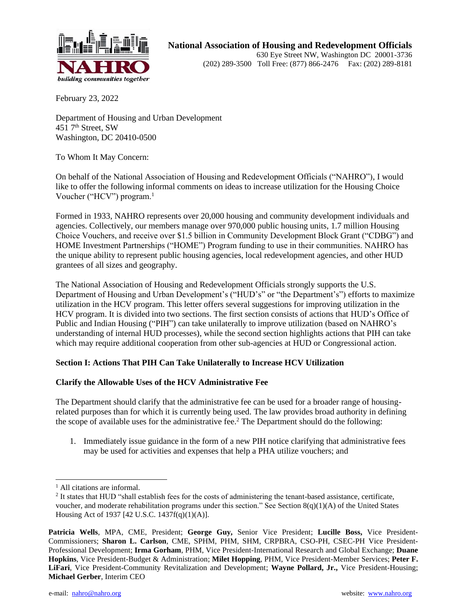

February 23, 2022

Department of Housing and Urban Development  $451$  7<sup>th</sup> Street, SW Washington, DC 20410-0500

To Whom It May Concern:

On behalf of the National Association of Housing and Redevelopment Officials ("NAHRO"), I would like to offer the following informal comments on ideas to increase utilization for the Housing Choice Voucher ("HCV") program.<sup>1</sup>

Formed in 1933, NAHRO represents over 20,000 housing and community development individuals and agencies. Collectively, our members manage over 970,000 public housing units, 1.7 million Housing Choice Vouchers, and receive over \$1.5 billion in Community Development Block Grant ("CDBG") and HOME Investment Partnerships ("HOME") Program funding to use in their communities. NAHRO has the unique ability to represent public housing agencies, local redevelopment agencies, and other HUD grantees of all sizes and geography.

The National Association of Housing and Redevelopment Officials strongly supports the U.S. Department of Housing and Urban Development's ("HUD's" or "the Department's") efforts to maximize utilization in the HCV program. This letter offers several suggestions for improving utilization in the HCV program. It is divided into two sections. The first section consists of actions that HUD's Office of Public and Indian Housing ("PIH") can take unilaterally to improve utilization (based on NAHRO's understanding of internal HUD processes), while the second section highlights actions that PIH can take which may require additional cooperation from other sub-agencies at HUD or Congressional action.

### **Section I: Actions That PIH Can Take Unilaterally to Increase HCV Utilization**

### **Clarify the Allowable Uses of the HCV Administrative Fee**

The Department should clarify that the administrative fee can be used for a broader range of housingrelated purposes than for which it is currently being used. The law provides broad authority in defining the scope of available uses for the administrative fee.<sup>2</sup> The Department should do the following:

1. Immediately issue guidance in the form of a new PIH notice clarifying that administrative fees may be used for activities and expenses that help a PHA utilize vouchers; and

<sup>&</sup>lt;sup>1</sup> All citations are informal.

<sup>&</sup>lt;sup>2</sup> It states that HUD "shall establish fees for the costs of administering the tenant-based assistance, certificate, voucher, and moderate rehabilitation programs under this section." See Section  $8(q)(1)(A)$  of the United States Housing Act of 1937 [42 U.S.C. 1437f(q)(1)(A)].

**Patricia Wells**, MPA, CME, President; **George Guy,** Senior Vice President; **Lucille Boss,** Vice President-Commissioners; **Sharon L. Carlson**, CME, SPHM, PHM, SHM, CRPBRA, CSO-PH, CSEC-PH Vice President-Professional Development; **Irma Gorham**, PHM, Vice President-International Research and Global Exchange; **Duane Hopkins**, Vice President-Budget & Administration; **Milet Hopping**, PHM, Vice President-Member Services; **Peter F. LiFari**, Vice President-Community Revitalization and Development; **Wayne Pollard, Jr.,** Vice President-Housing; **Michael Gerber**, Interim CEO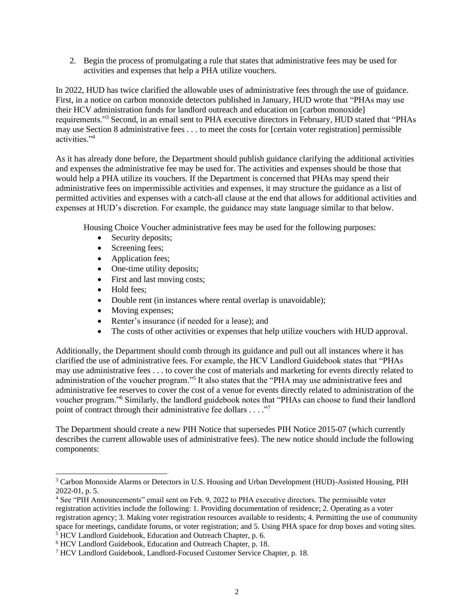2. Begin the process of promulgating a rule that states that administrative fees may be used for activities and expenses that help a PHA utilize vouchers.

In 2022, HUD has twice clarified the allowable uses of administrative fees through the use of guidance. First, in a notice on carbon monoxide detectors published in January, HUD wrote that "PHAs may use their HCV administration funds for landlord outreach and education on [carbon monoxide] requirements."<sup>3</sup> Second, in an email sent to PHA executive directors in February, HUD stated that "PHAs may use Section 8 administrative fees . . . to meet the costs for [certain voter registration] permissible activities."<sup>4</sup>

As it has already done before, the Department should publish guidance clarifying the additional activities and expenses the administrative fee may be used for. The activities and expenses should be those that would help a PHA utilize its vouchers. If the Department is concerned that PHAs may spend their administrative fees on impermissible activities and expenses, it may structure the guidance as a list of permitted activities and expenses with a catch-all clause at the end that allows for additional activities and expenses at HUD's discretion. For example, the guidance may state language similar to that below.

Housing Choice Voucher administrative fees may be used for the following purposes:

- Security deposits;
- Screening fees;
- Application fees;
- One-time utility deposits;
- First and last moving costs;
- Hold fees;
- Double rent (in instances where rental overlap is unavoidable);
- Moving expenses;
- Renter's insurance (if needed for a lease); and
- The costs of other activities or expenses that help utilize vouchers with HUD approval.

Additionally, the Department should comb through its guidance and pull out all instances where it has clarified the use of administrative fees. For example, the HCV Landlord Guidebook states that "PHAs may use administrative fees . . . to cover the cost of materials and marketing for events directly related to administration of the voucher program."<sup>5</sup> It also states that the "PHA may use administrative fees and administrative fee reserves to cover the cost of a venue for events directly related to administration of the voucher program."<sup>6</sup> Similarly, the landlord guidebook notes that "PHAs can choose to fund their landlord point of contract through their administrative fee dollars . . . ."<sup>7</sup>

The Department should create a new PIH Notice that supersedes PIH Notice 2015-07 (which currently describes the current allowable uses of administrative fees). The new notice should include the following components:

<sup>3</sup> Carbon Monoxide Alarms or Detectors in U.S. Housing and Urban Development (HUD)-Assisted Housing, PIH 2022-01, p. 5.

<sup>4</sup> See "PIH Announcements" email sent on Feb. 9, 2022 to PHA executive directors. The permissible voter registration activities include the following: 1. Providing documentation of residence; 2. Operating as a voter registration agency; 3. Making voter registration resources available to residents; 4. Permitting the use of community space for meetings, candidate forums, or voter registration; and 5. Using PHA space for drop boxes and voting sites. <sup>5</sup> HCV Landlord Guidebook, Education and Outreach Chapter, p. 6.

<sup>6</sup> HCV Landlord Guidebook, Education and Outreach Chapter, p. 18.

<sup>7</sup> HCV Landlord Guidebook, Landlord-Focused Customer Service Chapter, p. 18.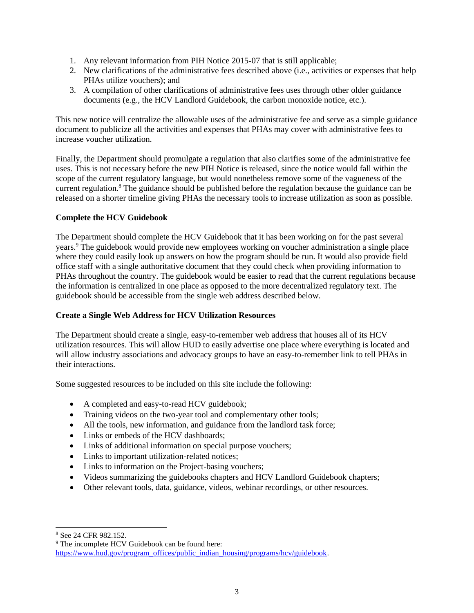- 1. Any relevant information from PIH Notice 2015-07 that is still applicable;
- 2. New clarifications of the administrative fees described above (i.e., activities or expenses that help PHAs utilize vouchers); and
- 3. A compilation of other clarifications of administrative fees uses through other older guidance documents (e.g., the HCV Landlord Guidebook, the carbon monoxide notice, etc.).

This new notice will centralize the allowable uses of the administrative fee and serve as a simple guidance document to publicize all the activities and expenses that PHAs may cover with administrative fees to increase voucher utilization.

Finally, the Department should promulgate a regulation that also clarifies some of the administrative fee uses. This is not necessary before the new PIH Notice is released, since the notice would fall within the scope of the current regulatory language, but would nonetheless remove some of the vagueness of the current regulation.<sup>8</sup> The guidance should be published before the regulation because the guidance can be released on a shorter timeline giving PHAs the necessary tools to increase utilization as soon as possible.

# **Complete the HCV Guidebook**

The Department should complete the HCV Guidebook that it has been working on for the past several years.<sup>9</sup> The guidebook would provide new employees working on voucher administration a single place where they could easily look up answers on how the program should be run. It would also provide field office staff with a single authoritative document that they could check when providing information to PHAs throughout the country. The guidebook would be easier to read that the current regulations because the information is centralized in one place as opposed to the more decentralized regulatory text. The guidebook should be accessible from the single web address described below.

# **Create a Single Web Address for HCV Utilization Resources**

The Department should create a single, easy-to-remember web address that houses all of its HCV utilization resources. This will allow HUD to easily advertise one place where everything is located and will allow industry associations and advocacy groups to have an easy-to-remember link to tell PHAs in their interactions.

Some suggested resources to be included on this site include the following:

- A completed and easy-to-read HCV guidebook;
- Training videos on the two-year tool and complementary other tools;
- All the tools, new information, and guidance from the landlord task force;
- Links or embeds of the HCV dashboards;
- Links of additional information on special purpose vouchers;
- Links to important utilization-related notices;
- Links to information on the Project-basing vouchers;
- Videos summarizing the guidebooks chapters and HCV Landlord Guidebook chapters;
- Other relevant tools, data, guidance, videos, webinar recordings, or other resources.

<sup>8</sup> See 24 CFR 982.152.

<sup>&</sup>lt;sup>9</sup> The incomplete HCV Guidebook can be found here: [https://www.hud.gov/program\\_offices/public\\_indian\\_housing/programs/hcv/guidebook.](https://www.hud.gov/program_offices/public_indian_housing/programs/hcv/guidebook)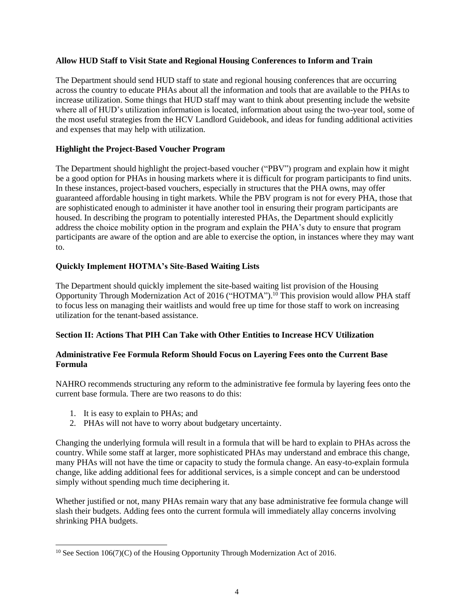### **Allow HUD Staff to Visit State and Regional Housing Conferences to Inform and Train**

The Department should send HUD staff to state and regional housing conferences that are occurring across the country to educate PHAs about all the information and tools that are available to the PHAs to increase utilization. Some things that HUD staff may want to think about presenting include the website where all of HUD's utilization information is located, information about using the two-year tool, some of the most useful strategies from the HCV Landlord Guidebook, and ideas for funding additional activities and expenses that may help with utilization.

### **Highlight the Project-Based Voucher Program**

The Department should highlight the project-based voucher ("PBV") program and explain how it might be a good option for PHAs in housing markets where it is difficult for program participants to find units. In these instances, project-based vouchers, especially in structures that the PHA owns, may offer guaranteed affordable housing in tight markets. While the PBV program is not for every PHA, those that are sophisticated enough to administer it have another tool in ensuring their program participants are housed. In describing the program to potentially interested PHAs, the Department should explicitly address the choice mobility option in the program and explain the PHA's duty to ensure that program participants are aware of the option and are able to exercise the option, in instances where they may want to.

### **Quickly Implement HOTMA's Site-Based Waiting Lists**

The Department should quickly implement the site-based waiting list provision of the Housing Opportunity Through Modernization Act of 2016 ("HOTMA").<sup>10</sup> This provision would allow PHA staff to focus less on managing their waitlists and would free up time for those staff to work on increasing utilization for the tenant-based assistance.

### **Section II: Actions That PIH Can Take with Other Entities to Increase HCV Utilization**

### **Administrative Fee Formula Reform Should Focus on Layering Fees onto the Current Base Formula**

NAHRO recommends structuring any reform to the administrative fee formula by layering fees onto the current base formula. There are two reasons to do this:

- 1. It is easy to explain to PHAs; and
- 2. PHAs will not have to worry about budgetary uncertainty.

Changing the underlying formula will result in a formula that will be hard to explain to PHAs across the country. While some staff at larger, more sophisticated PHAs may understand and embrace this change, many PHAs will not have the time or capacity to study the formula change. An easy-to-explain formula change, like adding additional fees for additional services, is a simple concept and can be understood simply without spending much time deciphering it.

Whether justified or not, many PHAs remain wary that any base administrative fee formula change will slash their budgets. Adding fees onto the current formula will immediately allay concerns involving shrinking PHA budgets.

 $10$  See Section 106(7)(C) of the Housing Opportunity Through Modernization Act of 2016.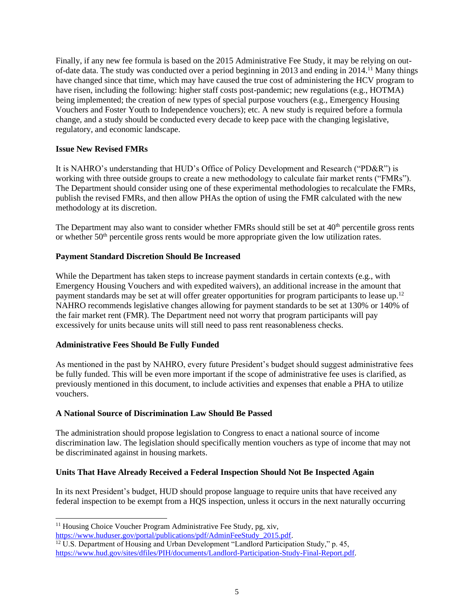Finally, if any new fee formula is based on the 2015 Administrative Fee Study, it may be relying on outof-date data. The study was conducted over a period beginning in 2013 and ending in 2014.<sup>11</sup> Many things have changed since that time, which may have caused the true cost of administering the HCV program to have risen, including the following: higher staff costs post-pandemic; new regulations (e.g., HOTMA) being implemented; the creation of new types of special purpose vouchers (e.g., Emergency Housing Vouchers and Foster Youth to Independence vouchers); etc. A new study is required before a formula change, and a study should be conducted every decade to keep pace with the changing legislative, regulatory, and economic landscape.

### **Issue New Revised FMRs**

It is NAHRO's understanding that HUD's Office of Policy Development and Research ("PD&R") is working with three outside groups to create a new methodology to calculate fair market rents ("FMRs"). The Department should consider using one of these experimental methodologies to recalculate the FMRs, publish the revised FMRs, and then allow PHAs the option of using the FMR calculated with the new methodology at its discretion.

The Department may also want to consider whether FMRs should still be set at  $40<sup>th</sup>$  percentile gross rents or whether  $50<sup>th</sup>$  percentile gross rents would be more appropriate given the low utilization rates.

### **Payment Standard Discretion Should Be Increased**

While the Department has taken steps to increase payment standards in certain contexts (e.g., with Emergency Housing Vouchers and with expedited waivers), an additional increase in the amount that payment standards may be set at will offer greater opportunities for program participants to lease up.<sup>12</sup> NAHRO recommends legislative changes allowing for payment standards to be set at 130% or 140% of the fair market rent (FMR). The Department need not worry that program participants will pay excessively for units because units will still need to pass rent reasonableness checks.

# **Administrative Fees Should Be Fully Funded**

As mentioned in the past by NAHRO, every future President's budget should suggest administrative fees be fully funded. This will be even more important if the scope of administrative fee uses is clarified, as previously mentioned in this document, to include activities and expenses that enable a PHA to utilize vouchers.

# **A National Source of Discrimination Law Should Be Passed**

The administration should propose legislation to Congress to enact a national source of income discrimination law. The legislation should specifically mention vouchers as type of income that may not be discriminated against in housing markets.

# **Units That Have Already Received a Federal Inspection Should Not Be Inspected Again**

In its next President's budget, HUD should propose language to require units that have received any federal inspection to be exempt from a HQS inspection, unless it occurs in the next naturally occurring

[https://www.huduser.gov/portal/publications/pdf/AdminFeeStudy\\_2015.pdf.](https://www.huduser.gov/portal/publications/pdf/AdminFeeStudy_2015.pdf)

 $11$  Housing Choice Voucher Program Administrative Fee Study, pg, xiv,

<sup>&</sup>lt;sup>12</sup> U.S. Department of Housing and Urban Development "Landlord Participation Study," p. 45, [https://www.hud.gov/sites/dfiles/PIH/documents/Landlord-Participation-Study-Final-Report.pdf.](https://www.hud.gov/sites/dfiles/PIH/documents/Landlord-Participation-Study-Final-Report.pdf)